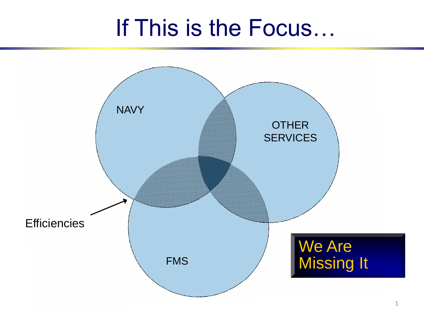# If This is the Focus…

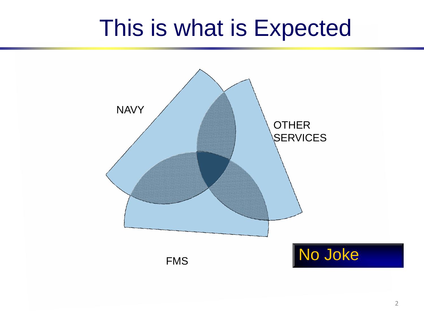# This is what is Expected

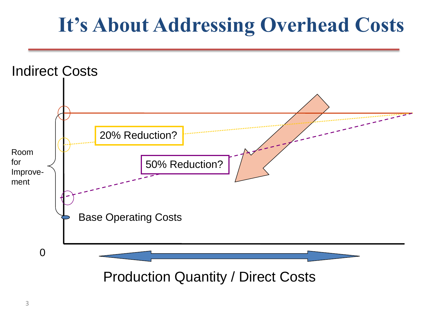## **It's About Addressing Overhead Costs**

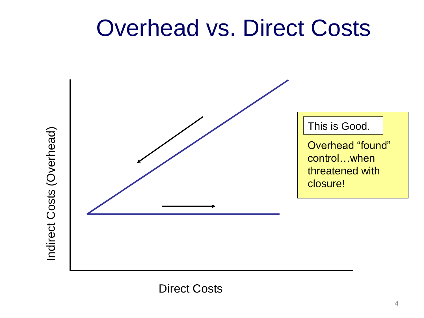# Overhead vs. Direct Costs





Direct Costs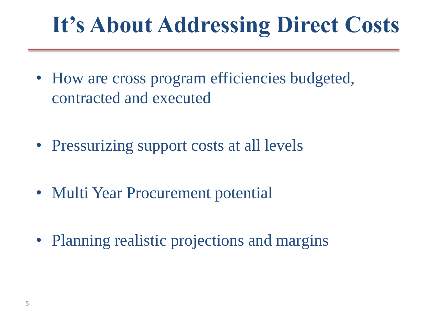# **It's About Addressing Direct Costs**

- How are cross program efficiencies budgeted, contracted and executed
- Pressurizing support costs at all levels
- Multi Year Procurement potential
- Planning realistic projections and margins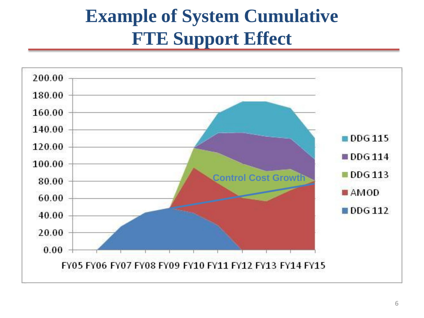#### **Example of System Cumulative FTE Support Effect**

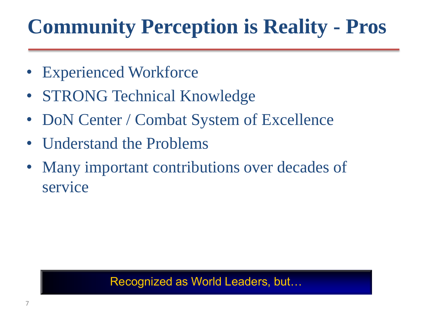# **Community Perception is Reality - Pros**

- Experienced Workforce
- STRONG Technical Knowledge
- DoN Center / Combat System of Excellence
- Understand the Problems
- Many important contributions over decades of service

#### Recognized as World Leaders, but…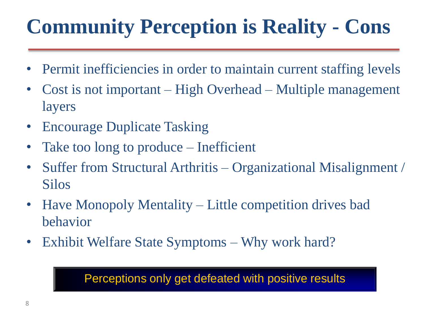# **Community Perception is Reality - Cons**

- Permit inefficiencies in order to maintain current staffing levels
- Cost is not important High Overhead Multiple management layers
- Encourage Duplicate Tasking
- Take too long to produce Inefficient
- Suffer from Structural Arthritis Organizational Misalignment / Silos
- Have Monopoly Mentality Little competition drives bad behavior
- Exhibit Welfare State Symptoms Why work hard?

Perceptions only get defeated with positive results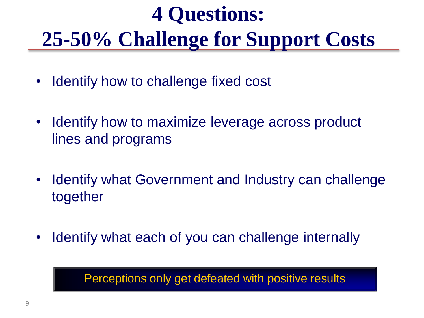# **4 Questions: 25-50% Challenge for Support Costs**

- Identify how to challenge fixed cost
- Identify how to maximize leverage across product lines and programs
- Identify what Government and Industry can challenge together
- Identify what each of you can challenge internally

Perceptions only get defeated with positive results